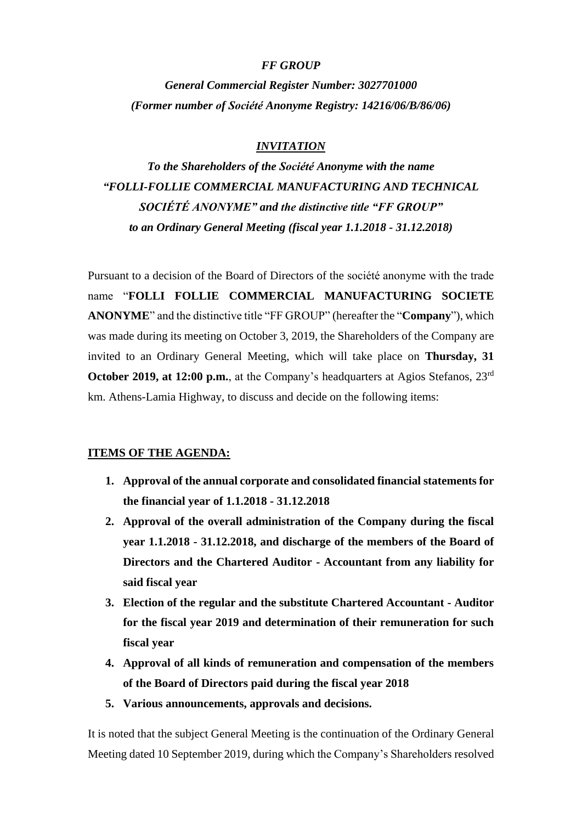## *FF GROUP*

*General Commercial Register Number: 3027701000 (Former number οf Société Anonyme Registry: 14216/06/B/86/06)*

## *INVITATION*

*To the Shareholders of the Société Anonyme with the name "FOLLI-FOLLIE COMMERCIAL MANUFACTURING AND TECHNICAL SOCIÉTÉ ANONYME" and the distinctive title "FF GROUP" to an Ordinary General Meeting (fiscal year 1.1.2018 - 31.12.2018)*

Pursuant to a decision of the Board of Directors of the société anonyme with the trade name "**FOLLI FOLLIE COMMERCIAL MANUFACTURING SOCIETE ANONYME**" and the distinctive title "FF GROUP" (hereafter the "**Company**"), which was made during its meeting on October 3, 2019, the Shareholders of the Company are invited to an Ordinary General Meeting, which will take place on **Thursday, 31 October 2019, at 12:00 p.m.**, at the Company's headquarters at Agios Stefanos, 23<sup>rd</sup> km. Athens-Lamia Highway, to discuss and decide on the following items:

### **ITEMS OF THE AGENDA:**

- **1. Approval of the annual corporate and consolidated financial statements for the financial year of 1.1.2018 - 31.12.2018**
- **2. Approval of the overall administration of the Company during the fiscal year 1.1.2018 - 31.12.2018, and discharge of the members of the Board of Directors and the Chartered Auditor - Accountant from any liability for said fiscal year**
- **3. Election of the regular and the substitute Chartered Accountant - Auditor for the fiscal year 2019 and determination of their remuneration for such fiscal year**
- **4. Approval of all kinds of remuneration and compensation of the members of the Board of Directors paid during the fiscal year 2018**
- **5. Various announcements, approvals and decisions.**

It is noted that the subject General Meeting is the continuation of the Ordinary General Meeting dated 10 September 2019, during which the Company's Shareholders resolved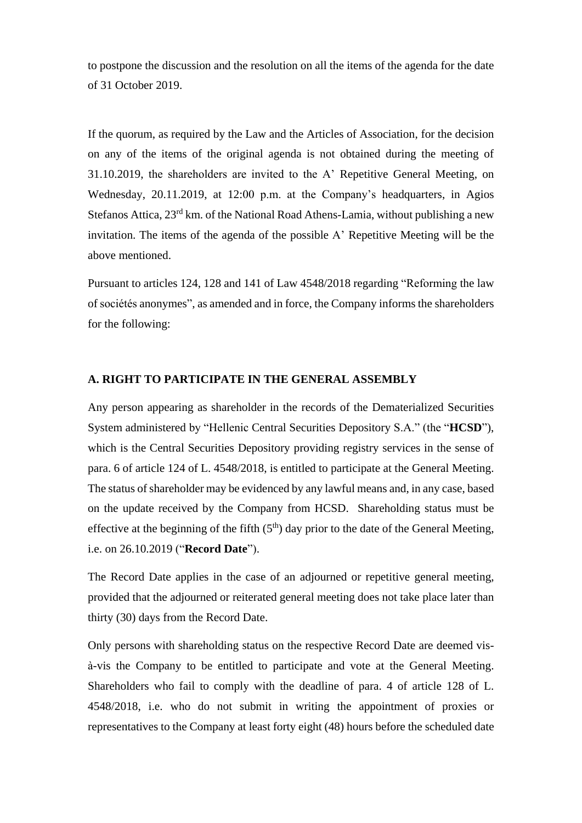to postpone the discussion and the resolution on all the items of the agenda for the date of 31 October 2019.

If the quorum, as required by the Law and the Articles of Association, for the decision on any of the items of the original agenda is not obtained during the meeting of 31.10.2019, the shareholders are invited to the A' Repetitive General Meeting, on Wednesday, 20.11.2019, at 12:00 p.m. at the Company's headquarters, in Agios Stefanos Attica, 23<sup>rd</sup> km. of the National Road Athens-Lamia, without publishing a new invitation. The items of the agenda of the possible A' Repetitive Meeting will be the above mentioned.

Pursuant to articles 124, 128 and 141 of Law 4548/2018 regarding "Reforming the law of sociétés anonymes", as amended and in force, the Company informs the shareholders for the following:

## **A. RIGHT TO PARTICIPATE IN THE GENERAL ASSEMBLY**

Any person appearing as shareholder in the records of the Dematerialized Securities System administered by "Hellenic Central Securities Depository S.A." (the "**HCSD**"), which is the Central Securities Depository providing registry services in the sense of para. 6 of article 124 of L. 4548/2018, is entitled to participate at the General Meeting. The status of shareholder may be evidenced by any lawful means and, in any case, based on the update received by the Company from HCSD. Shareholding status must be effective at the beginning of the fifth  $(5<sup>th</sup>)$  day prior to the date of the General Meeting, i.e. on 26.10.2019 ("**Record Date**").

The Record Date applies in the case of an adjourned or repetitive general meeting, provided that the adjourned or reiterated general meeting does not take place later than thirty (30) days from the Record Date.

Only persons with shareholding status on the respective Record Date are deemed visà-vis the Company to be entitled to participate and vote at the General Meeting. Shareholders who fail to comply with the deadline of para. 4 of article 128 of L. 4548/2018, i.e. who do not submit in writing the appointment of proxies or representatives to the Company at least forty eight (48) hours before the scheduled date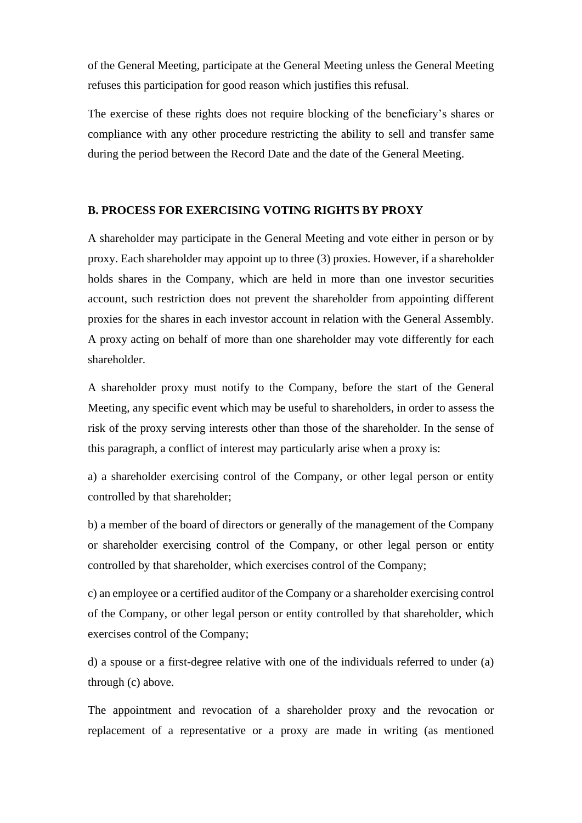of the General Meeting, participate at the General Meeting unless the General Meeting refuses this participation for good reason which justifies this refusal.

The exercise of these rights does not require blocking of the beneficiary's shares or compliance with any other procedure restricting the ability to sell and transfer same during the period between the Record Date and the date of the General Meeting.

## **B. PROCESS FOR EXERCISING VOTING RIGHTS BY PROXY**

A shareholder may participate in the General Meeting and vote either in person or by proxy. Each shareholder may appoint up to three (3) proxies. However, if a shareholder holds shares in the Company, which are held in more than one investor securities account, such restriction does not prevent the shareholder from appointing different proxies for the shares in each investor account in relation with the General Assembly. A proxy acting on behalf of more than one shareholder may vote differently for each shareholder.

A shareholder proxy must notify to the Company, before the start of the General Meeting, any specific event which may be useful to shareholders, in order to assess the risk of the proxy serving interests other than those of the shareholder. In the sense of this paragraph, a conflict of interest may particularly arise when a proxy is:

a) a shareholder exercising control of the Company, or other legal person or entity controlled by that shareholder;

b) a member of the board of directors or generally of the management of the Company or shareholder exercising control of the Company, or other legal person or entity controlled by that shareholder, which exercises control of the Company;

c) an employee or a certified auditor of the Company or a shareholder exercising control of the Company, or other legal person or entity controlled by that shareholder, which exercises control of the Company;

d) a spouse or a first-degree relative with one of the individuals referred to under (a) through (c) above.

The appointment and revocation of a shareholder proxy and the revocation or replacement of a representative or a proxy are made in writing (as mentioned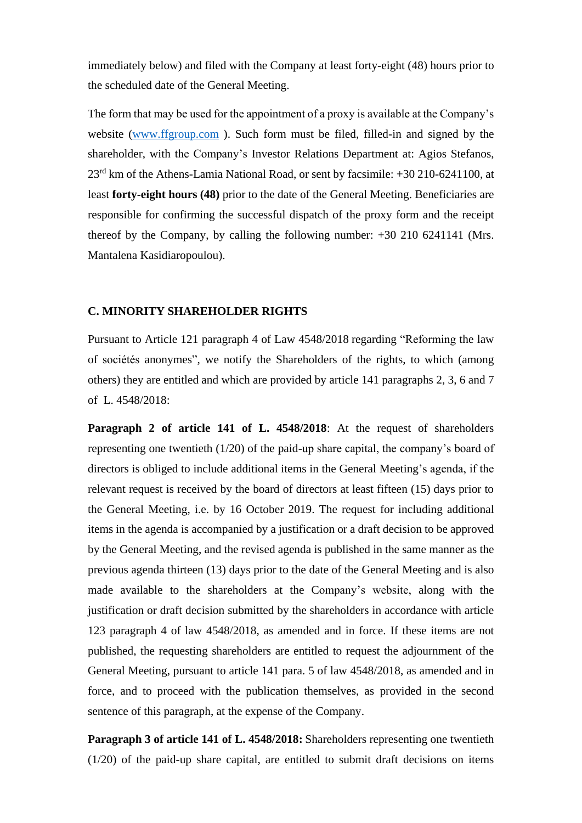immediately below) and filed with the Company at least forty-eight (48) hours prior to the scheduled date of the General Meeting.

The form that may be used for the appointment of a proxy is available at the Company's website [\(www.ffgroup.com](http://www.ffgroup.com/)). Such form must be filed, filled-in and signed by the shareholder, with the Company's Investor Relations Department at: Agios Stefanos, 23rd km of the Athens-Lamia National Road, or sent by facsimile: +30 210-6241100, at least **forty-eight hours (48)** prior to the date of the General Meeting. Beneficiaries are responsible for confirming the successful dispatch of the proxy form and the receipt thereof by the Company, by calling the following number: +30 210 6241141 (Mrs. Mantalena Kasidiaropoulou).

#### **C. MINORITY SHAREHOLDER RIGHTS**

Pursuant to Article 121 paragraph 4 of Law 4548/2018 regarding "Reforming the law of sociétés anonymes", we notify the Shareholders of the rights, to which (among others) they are entitled and which are provided by article 141 paragraphs 2, 3, 6 and 7 of L. 4548/2018:

**Paragraph 2 of article 141 of L. 4548/2018**: At the request of shareholders representing one twentieth (1/20) of the paid-up share capital, the company's board of directors is obliged to include additional items in the General Meeting's agenda, if the relevant request is received by the board of directors at least fifteen (15) days prior to the General Meeting, i.e. by 16 October 2019. The request for including additional items in the agenda is accompanied by a justification or a draft decision to be approved by the General Meeting, and the revised agenda is published in the same manner as the previous agenda thirteen (13) days prior to the date of the General Meeting and is also made available to the shareholders at the Company's website, along with the justification or draft decision submitted by the shareholders in accordance with article 123 paragraph 4 of law 4548/2018, as amended and in force. If these items are not published, the requesting shareholders are entitled to request the adjournment of the General Meeting, pursuant to article 141 para. 5 of law 4548/2018, as amended and in force, and to proceed with the publication themselves, as provided in the second sentence of this paragraph, at the expense of the Company.

**Paragraph 3 of article 141 of L. 4548/2018:** Shareholders representing one twentieth (1/20) of the paid-up share capital, are entitled to submit draft decisions on items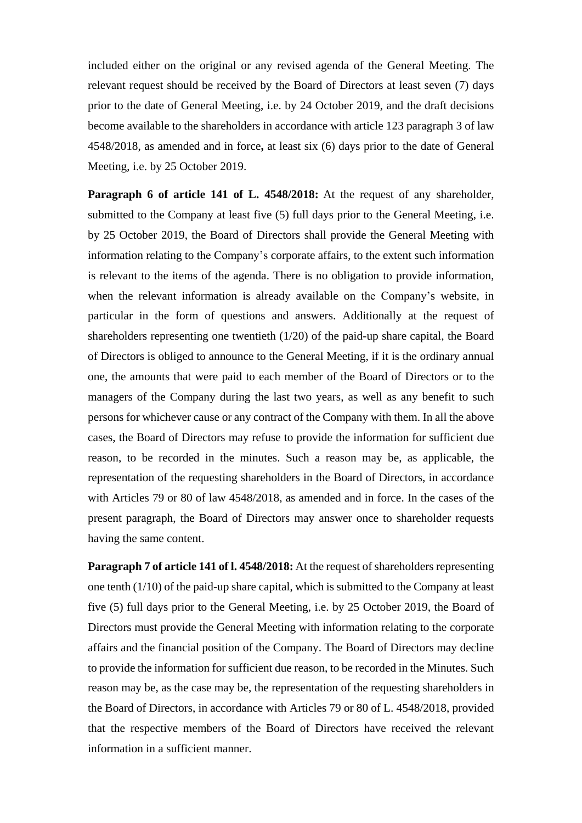included either on the original or any revised agenda of the General Meeting. The relevant request should be received by the Board of Directors at least seven (7) days prior to the date of General Meeting, i.e. by 24 October 2019, and the draft decisions become available to the shareholders in accordance with article 123 paragraph 3 of law 4548/2018, as amended and in force**,** at least six (6) days prior to the date of General Meeting, i.e. by 25 October 2019.

**Paragraph 6 of article 141 of L. 4548/2018:** At the request of any shareholder, submitted to the Company at least five (5) full days prior to the General Meeting, i.e. by 25 October 2019, the Board of Directors shall provide the General Meeting with information relating to the Company's corporate affairs, to the extent such information is relevant to the items of the agenda. There is no obligation to provide information, when the relevant information is already available on the Company's website, in particular in the form of questions and answers. Additionally at the request of shareholders representing one twentieth (1/20) of the paid-up share capital, the Board of Directors is obliged to announce to the General Meeting, if it is the ordinary annual one, the amounts that were paid to each member of the Board of Directors or to the managers of the Company during the last two years, as well as any benefit to such persons for whichever cause or any contract of the Company with them. In all the above cases, the Board of Directors may refuse to provide the information for sufficient due reason, to be recorded in the minutes. Such a reason may be, as applicable, the representation of the requesting shareholders in the Board of Directors, in accordance with Articles 79 or 80 of law 4548/2018, as amended and in force. In the cases of the present paragraph, the Board of Directors may answer once to shareholder requests having the same content.

**Paragraph 7 of article 141 of l. 4548/2018:** At the request of shareholders representing one tenth (1/10) of the paid-up share capital, which is submitted to the Company at least five (5) full days prior to the General Meeting, i.e. by 25 October 2019, the Board of Directors must provide the General Meeting with information relating to the corporate affairs and the financial position of the Company. The Board of Directors may decline to provide the information for sufficient due reason, to be recorded in the Minutes. Such reason may be, as the case may be, the representation of the requesting shareholders in the Board of Directors, in accordance with Articles 79 or 80 of L. 4548/2018, provided that the respective members of the Board of Directors have received the relevant information in a sufficient manner.